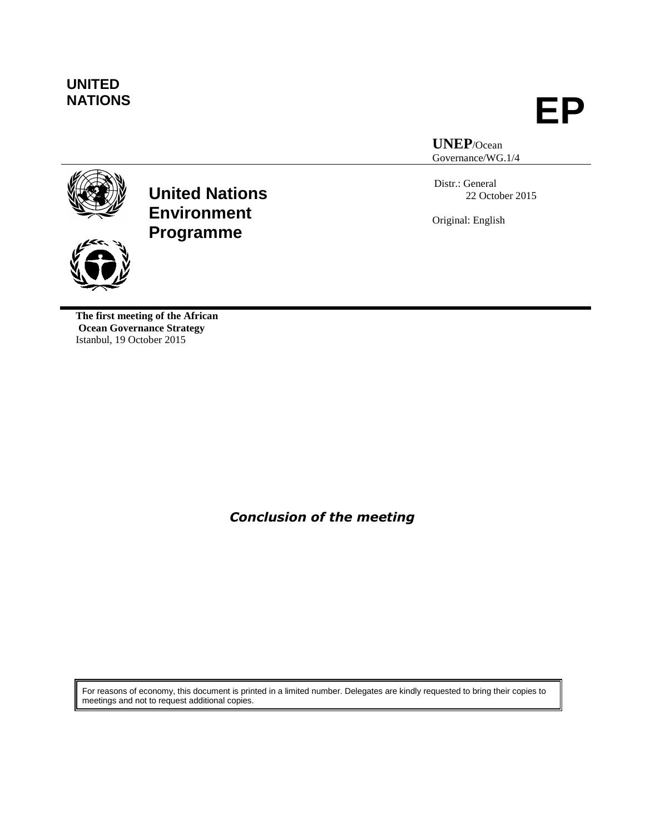# **UNITED**

**NATIONS EP**

**UNEP**/Ocean Governance/WG.1/4

Distr.: General 22 October 2015

Original: English



**United Nations Environment Programme**

**The first meeting of the African Ocean Governance Strategy**  Istanbul, 19 October 2015

*Conclusion of the meeting*

For reasons of economy, this document is printed in a limited number. Delegates are kindly requested to bring their copies to meetings and not to request additional copies.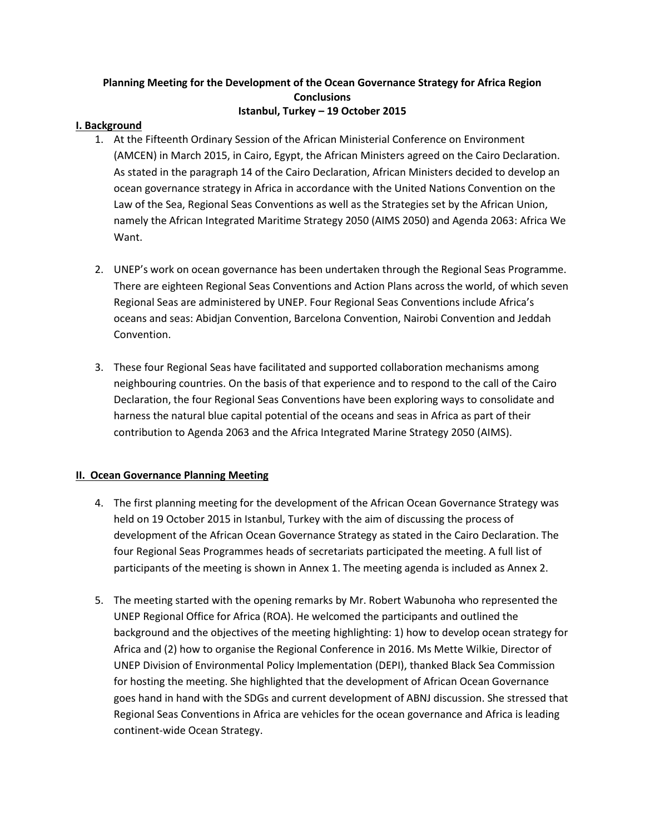### **Planning Meeting for the Development of the Ocean Governance Strategy for Africa Region Conclusions Istanbul, Turkey – 19 October 2015**

#### **I. Background**

- 1. At the Fifteenth Ordinary Session of the African Ministerial Conference on Environment (AMCEN) in March 2015, in Cairo, Egypt, the African Ministers agreed on the Cairo Declaration. As stated in the paragraph 14 of the Cairo Declaration, African Ministers decided to develop an ocean governance strategy in Africa in accordance with the United Nations Convention on the Law of the Sea, Regional Seas Conventions as well as the Strategies set by the African Union, namely the African Integrated Maritime Strategy 2050 (AIMS 2050) and Agenda 2063: Africa We Want.
- 2. UNEP's work on ocean governance has been undertaken through the Regional Seas Programme. There are eighteen Regional Seas Conventions and Action Plans across the world, of which seven Regional Seas are administered by UNEP. Four Regional Seas Conventions include Africa's oceans and seas: Abidjan Convention, Barcelona Convention, Nairobi Convention and Jeddah Convention.
- 3. These four Regional Seas have facilitated and supported collaboration mechanisms among neighbouring countries. On the basis of that experience and to respond to the call of the Cairo Declaration, the four Regional Seas Conventions have been exploring ways to consolidate and harness the natural blue capital potential of the oceans and seas in Africa as part of their contribution to Agenda 2063 and the Africa Integrated Marine Strategy 2050 (AIMS).

#### **II. Ocean Governance Planning Meeting**

- 4. The first planning meeting for the development of the African Ocean Governance Strategy was held on 19 October 2015 in Istanbul, Turkey with the aim of discussing the process of development of the African Ocean Governance Strategy as stated in the Cairo Declaration. The four Regional Seas Programmes heads of secretariats participated the meeting. A full list of participants of the meeting is shown in Annex 1. The meeting agenda is included as Annex 2.
- 5. The meeting started with the opening remarks by Mr. Robert Wabunoha who represented the UNEP Regional Office for Africa (ROA). He welcomed the participants and outlined the background and the objectives of the meeting highlighting: 1) how to develop ocean strategy for Africa and (2) how to organise the Regional Conference in 2016. Ms Mette Wilkie, Director of UNEP Division of Environmental Policy Implementation (DEPI), thanked Black Sea Commission for hosting the meeting. She highlighted that the development of African Ocean Governance goes hand in hand with the SDGs and current development of ABNJ discussion. She stressed that Regional Seas Conventions in Africa are vehicles for the ocean governance and Africa is leading continent-wide Ocean Strategy.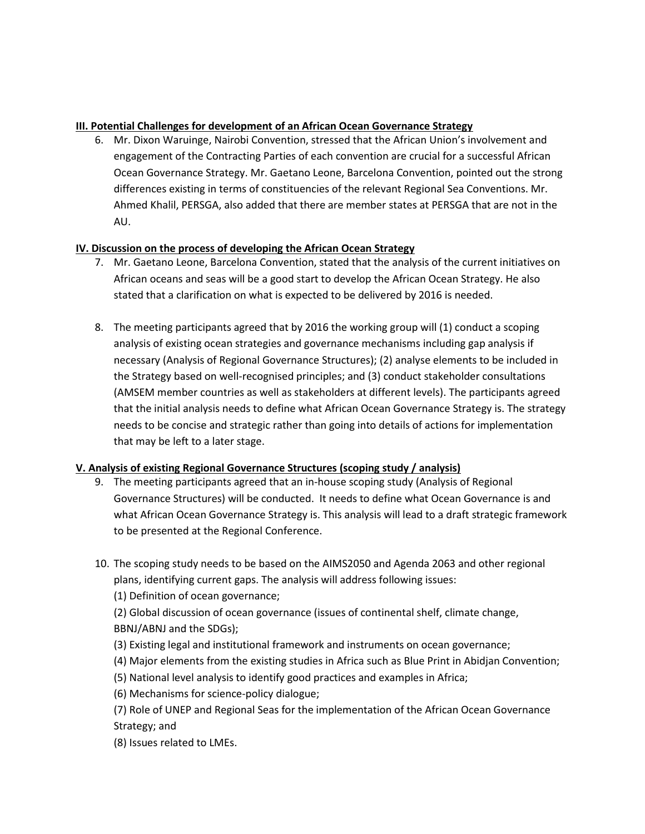#### **III. Potential Challenges for development of an African Ocean Governance Strategy**

6. Mr. Dixon Waruinge, Nairobi Convention, stressed that the African Union's involvement and engagement of the Contracting Parties of each convention are crucial for a successful African Ocean Governance Strategy. Mr. Gaetano Leone, Barcelona Convention, pointed out the strong differences existing in terms of constituencies of the relevant Regional Sea Conventions. Mr. Ahmed Khalil, PERSGA, also added that there are member states at PERSGA that are not in the AU.

## **IV. Discussion on the process of developing the African Ocean Strategy**

- 7. Mr. Gaetano Leone, Barcelona Convention, stated that the analysis of the current initiatives on African oceans and seas will be a good start to develop the African Ocean Strategy. He also stated that a clarification on what is expected to be delivered by 2016 is needed.
- 8. The meeting participants agreed that by 2016 the working group will (1) conduct a scoping analysis of existing ocean strategies and governance mechanisms including gap analysis if necessary (Analysis of Regional Governance Structures); (2) analyse elements to be included in the Strategy based on well-recognised principles; and (3) conduct stakeholder consultations (AMSEM member countries as well as stakeholders at different levels). The participants agreed that the initial analysis needs to define what African Ocean Governance Strategy is. The strategy needs to be concise and strategic rather than going into details of actions for implementation that may be left to a later stage.

## **V. Analysis of existing Regional Governance Structures (scoping study / analysis)**

- 9. The meeting participants agreed that an in-house scoping study (Analysis of Regional Governance Structures) will be conducted. It needs to define what Ocean Governance is and what African Ocean Governance Strategy is. This analysis will lead to a draft strategic framework to be presented at the Regional Conference.
- 10. The scoping study needs to be based on the AIMS2050 and Agenda 2063 and other regional plans, identifying current gaps. The analysis will address following issues:
	- (1) Definition of ocean governance;
	- (2) Global discussion of ocean governance (issues of continental shelf, climate change, BBNJ/ABNJ and the SDGs);
	- (3) Existing legal and institutional framework and instruments on ocean governance;
	- (4) Major elements from the existing studies in Africa such as Blue Print in Abidjan Convention;
	- (5) National level analysis to identify good practices and examples in Africa;
	- (6) Mechanisms for science-policy dialogue;
	- (7) Role of UNEP and Regional Seas for the implementation of the African Ocean Governance Strategy; and
	- (8) Issues related to LMEs.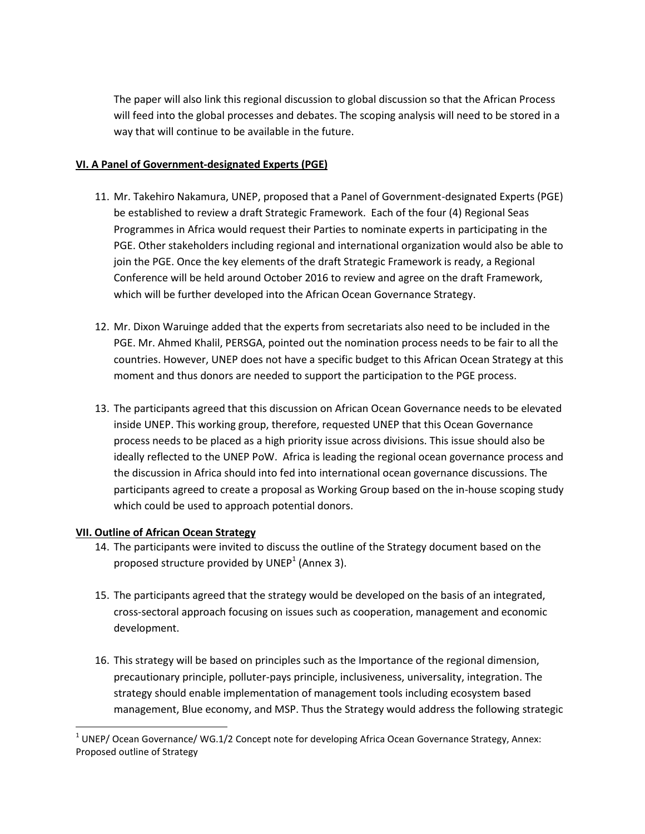The paper will also link this regional discussion to global discussion so that the African Process will feed into the global processes and debates. The scoping analysis will need to be stored in a way that will continue to be available in the future.

#### **VI. A Panel of Government-designated Experts (PGE)**

- 11. Mr. Takehiro Nakamura, UNEP, proposed that a Panel of Government-designated Experts (PGE) be established to review a draft Strategic Framework. Each of the four (4) Regional Seas Programmes in Africa would request their Parties to nominate experts in participating in the PGE. Other stakeholders including regional and international organization would also be able to join the PGE. Once the key elements of the draft Strategic Framework is ready, a Regional Conference will be held around October 2016 to review and agree on the draft Framework, which will be further developed into the African Ocean Governance Strategy.
- 12. Mr. Dixon Waruinge added that the experts from secretariats also need to be included in the PGE. Mr. Ahmed Khalil, PERSGA, pointed out the nomination process needs to be fair to all the countries. However, UNEP does not have a specific budget to this African Ocean Strategy at this moment and thus donors are needed to support the participation to the PGE process.
- 13. The participants agreed that this discussion on African Ocean Governance needs to be elevated inside UNEP. This working group, therefore, requested UNEP that this Ocean Governance process needs to be placed as a high priority issue across divisions. This issue should also be ideally reflected to the UNEP PoW. Africa is leading the regional ocean governance process and the discussion in Africa should into fed into international ocean governance discussions. The participants agreed to create a proposal as Working Group based on the in-house scoping study which could be used to approach potential donors.

## **VII. Outline of African Ocean Strategy**

l

- 14. The participants were invited to discuss the outline of the Strategy document based on the proposed structure provided by UNEP $^1$  (Annex 3).
- 15. The participants agreed that the strategy would be developed on the basis of an integrated, cross-sectoral approach focusing on issues such as cooperation, management and economic development.
- 16. This strategy will be based on principles such as the Importance of the regional dimension, precautionary principle, polluter-pays principle, inclusiveness, universality, integration. The strategy should enable implementation of management tools including ecosystem based management, Blue economy, and MSP. Thus the Strategy would address the following strategic

 $^{1}$  UNEP/ Ocean Governance/ WG.1/2 Concept note for developing Africa Ocean Governance Strategy, Annex: Proposed outline of Strategy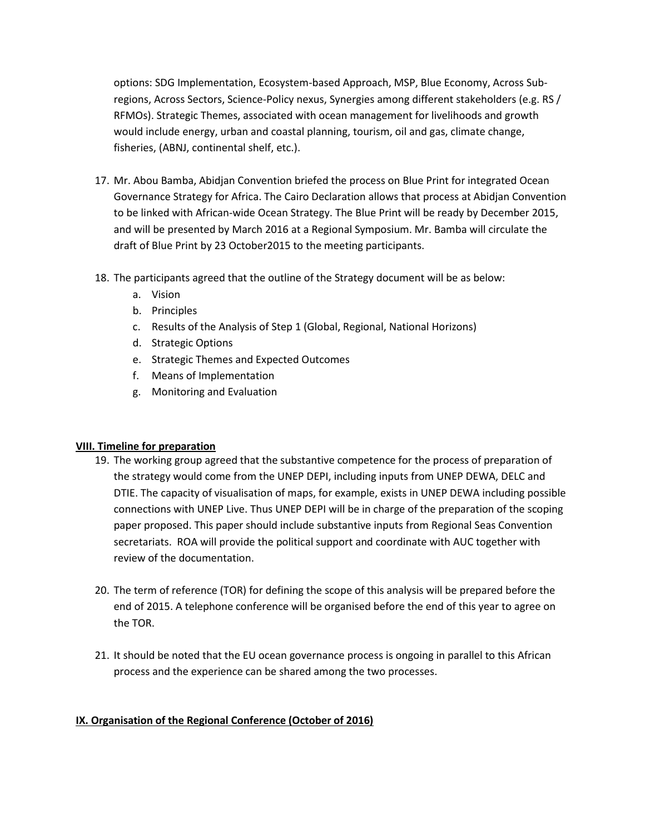options: SDG Implementation, Ecosystem-based Approach, MSP, Blue Economy, Across Subregions, Across Sectors, Science-Policy nexus, Synergies among different stakeholders (e.g. RS / RFMOs). Strategic Themes, associated with ocean management for livelihoods and growth would include energy, urban and coastal planning, tourism, oil and gas, climate change, fisheries, (ABNJ, continental shelf, etc.).

- 17. Mr. Abou Bamba, Abidjan Convention briefed the process on Blue Print for integrated Ocean Governance Strategy for Africa. The Cairo Declaration allows that process at Abidjan Convention to be linked with African-wide Ocean Strategy. The Blue Print will be ready by December 2015, and will be presented by March 2016 at a Regional Symposium. Mr. Bamba will circulate the draft of Blue Print by 23 October2015 to the meeting participants.
- 18. The participants agreed that the outline of the Strategy document will be as below:
	- a. Vision
	- b. Principles
	- c. Results of the Analysis of Step 1 (Global, Regional, National Horizons)
	- d. Strategic Options
	- e. Strategic Themes and Expected Outcomes
	- f. Means of Implementation
	- g. Monitoring and Evaluation

## **VIII. Timeline for preparation**

- 19. The working group agreed that the substantive competence for the process of preparation of the strategy would come from the UNEP DEPI, including inputs from UNEP DEWA, DELC and DTIE. The capacity of visualisation of maps, for example, exists in UNEP DEWA including possible connections with UNEP Live. Thus UNEP DEPI will be in charge of the preparation of the scoping paper proposed. This paper should include substantive inputs from Regional Seas Convention secretariats. ROA will provide the political support and coordinate with AUC together with review of the documentation.
- 20. The term of reference (TOR) for defining the scope of this analysis will be prepared before the end of 2015. A telephone conference will be organised before the end of this year to agree on the TOR.
- 21. It should be noted that the EU ocean governance process is ongoing in parallel to this African process and the experience can be shared among the two processes.

## **IX. Organisation of the Regional Conference (October of 2016)**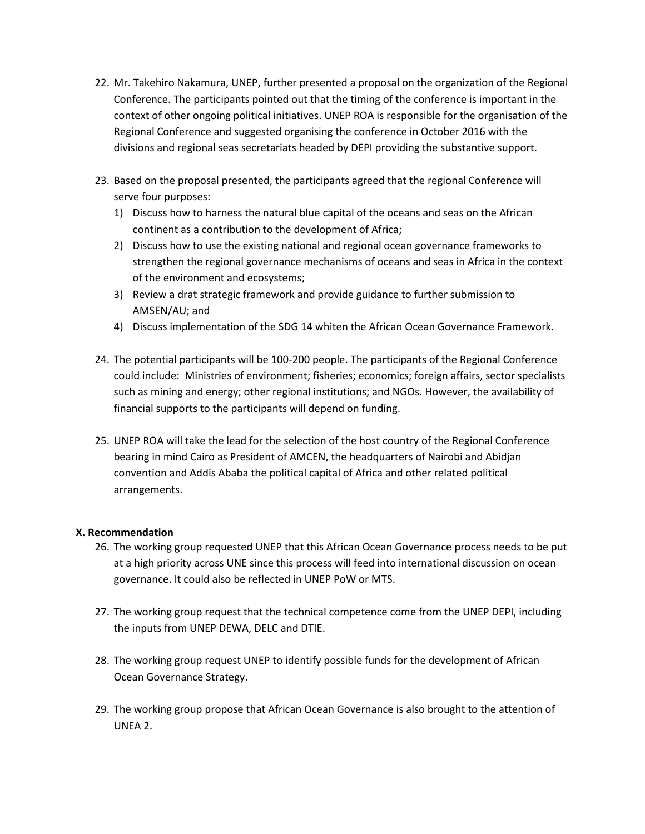- 22. Mr. Takehiro Nakamura, UNEP, further presented a proposal on the organization of the Regional Conference. The participants pointed out that the timing of the conference is important in the context of other ongoing political initiatives. UNEP ROA is responsible for the organisation of the Regional Conference and suggested organising the conference in October 2016 with the divisions and regional seas secretariats headed by DEPI providing the substantive support.
- 23. Based on the proposal presented, the participants agreed that the regional Conference will serve four purposes:
	- 1) Discuss how to harness the natural blue capital of the oceans and seas on the African continent as a contribution to the development of Africa;
	- 2) Discuss how to use the existing national and regional ocean governance frameworks to strengthen the regional governance mechanisms of oceans and seas in Africa in the context of the environment and ecosystems;
	- 3) Review a drat strategic framework and provide guidance to further submission to AMSEN/AU; and
	- 4) Discuss implementation of the SDG 14 whiten the African Ocean Governance Framework.
- 24. The potential participants will be 100-200 people. The participants of the Regional Conference could include: Ministries of environment; fisheries; economics; foreign affairs, sector specialists such as mining and energy; other regional institutions; and NGOs. However, the availability of financial supports to the participants will depend on funding.
- 25. UNEP ROA will take the lead for the selection of the host country of the Regional Conference bearing in mind Cairo as President of AMCEN, the headquarters of Nairobi and Abidjan convention and Addis Ababa the political capital of Africa and other related political arrangements.

## **X. Recommendation**

- 26. The working group requested UNEP that this African Ocean Governance process needs to be put at a high priority across UNE since this process will feed into international discussion on ocean governance. It could also be reflected in UNEP PoW or MTS.
- 27. The working group request that the technical competence come from the UNEP DEPI, including the inputs from UNEP DEWA, DELC and DTIE.
- 28. The working group request UNEP to identify possible funds for the development of African Ocean Governance Strategy.
- 29. The working group propose that African Ocean Governance is also brought to the attention of UNEA 2.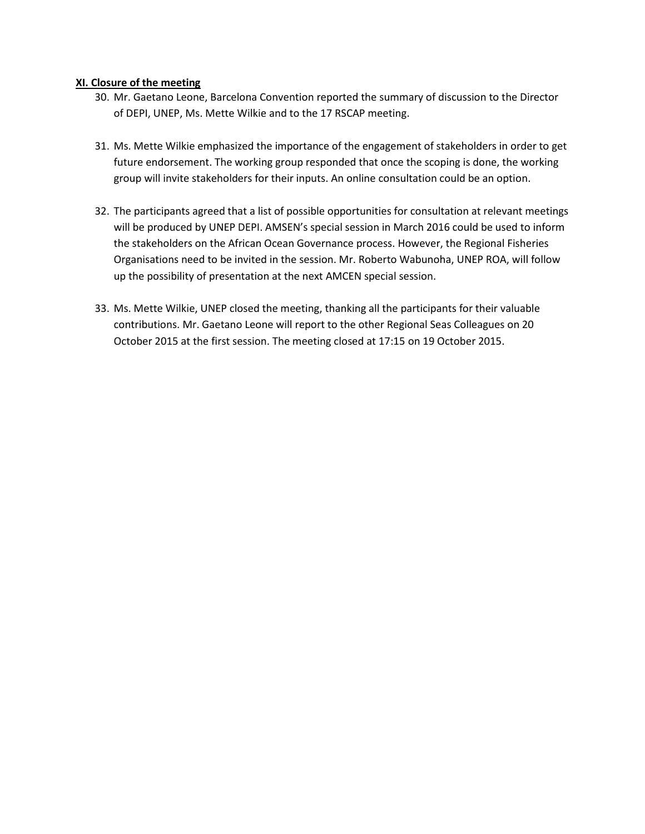#### **XI. Closure of the meeting**

- 30. Mr. Gaetano Leone, Barcelona Convention reported the summary of discussion to the Director of DEPI, UNEP, Ms. Mette Wilkie and to the 17 RSCAP meeting.
- 31. Ms. Mette Wilkie emphasized the importance of the engagement of stakeholders in order to get future endorsement. The working group responded that once the scoping is done, the working group will invite stakeholders for their inputs. An online consultation could be an option.
- 32. The participants agreed that a list of possible opportunities for consultation at relevant meetings will be produced by UNEP DEPI. AMSEN's special session in March 2016 could be used to inform the stakeholders on the African Ocean Governance process. However, the Regional Fisheries Organisations need to be invited in the session. Mr. Roberto Wabunoha, UNEP ROA, will follow up the possibility of presentation at the next AMCEN special session.
- 33. Ms. Mette Wilkie, UNEP closed the meeting, thanking all the participants for their valuable contributions. Mr. Gaetano Leone will report to the other Regional Seas Colleagues on 20 October 2015 at the first session. The meeting closed at 17:15 on 19 October 2015.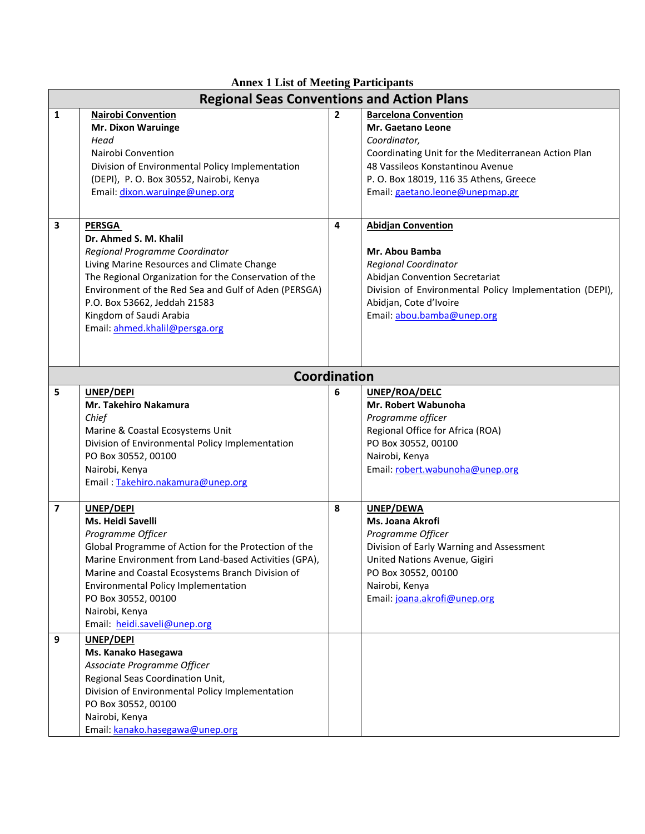| <b>Annex 1 List of Meeting Participants</b>       |                                                                                                                                                                                                                                                                                                                                                |                |                                                                                                                                                                                                                                                 |  |  |
|---------------------------------------------------|------------------------------------------------------------------------------------------------------------------------------------------------------------------------------------------------------------------------------------------------------------------------------------------------------------------------------------------------|----------------|-------------------------------------------------------------------------------------------------------------------------------------------------------------------------------------------------------------------------------------------------|--|--|
| <b>Regional Seas Conventions and Action Plans</b> |                                                                                                                                                                                                                                                                                                                                                |                |                                                                                                                                                                                                                                                 |  |  |
| 1                                                 | <b>Nairobi Convention</b><br><b>Mr. Dixon Waruinge</b><br>Head<br>Nairobi Convention<br>Division of Environmental Policy Implementation<br>(DEPI), P. O. Box 30552, Nairobi, Kenya<br>Email: dixon.waruinge@unep.org                                                                                                                           | $\overline{2}$ | <b>Barcelona Convention</b><br><b>Mr. Gaetano Leone</b><br>Coordinator,<br>Coordinating Unit for the Mediterranean Action Plan<br>48 Vassileos Konstantinou Avenue<br>P. O. Box 18019, 116 35 Athens, Greece<br>Email: gaetano.leone@unepmap.gr |  |  |
| 3                                                 | <b>PERSGA</b><br>Dr. Ahmed S. M. Khalil<br>Regional Programme Coordinator<br>Living Marine Resources and Climate Change<br>The Regional Organization for the Conservation of the<br>Environment of the Red Sea and Gulf of Aden (PERSGA)<br>P.O. Box 53662, Jeddah 21583<br>Kingdom of Saudi Arabia<br>Email: ahmed.khalil@persga.org          | 4              | <b>Abidjan Convention</b><br>Mr. Abou Bamba<br><b>Regional Coordinator</b><br>Abidjan Convention Secretariat<br>Division of Environmental Policy Implementation (DEPI),<br>Abidjan, Cote d'Ivoire<br>Email: abou.bamba@unep.org                 |  |  |
|                                                   | <b>Coordination</b>                                                                                                                                                                                                                                                                                                                            |                |                                                                                                                                                                                                                                                 |  |  |
| 5                                                 | UNEP/DEPI<br><b>Mr. Takehiro Nakamura</b><br>Chief<br>Marine & Coastal Ecosystems Unit<br>Division of Environmental Policy Implementation<br>PO Box 30552, 00100<br>Nairobi, Kenya<br>Email: Takehiro.nakamura@unep.org                                                                                                                        | 6              | UNEP/ROA/DELC<br>Mr. Robert Wabunoha<br>Programme officer<br>Regional Office for Africa (ROA)<br>PO Box 30552, 00100<br>Nairobi, Kenya<br>Email: robert.wabunoha@unep.org                                                                       |  |  |
| $\overline{\mathbf{z}}$                           | UNEP/DEPI<br>Ms. Heidi Savelli<br>Programme Officer<br>Global Programme of Action for the Protection of the<br>Marine Environment from Land-based Activities (GPA),<br>Marine and Coastal Ecosystems Branch Division of<br><b>Environmental Policy Implementation</b><br>PO Box 30552, 00100<br>Nairobi, Kenya<br>Email: heidi.saveli@unep.org | 8              | UNEP/DEWA<br>Ms. Joana Akrofi<br>Programme Officer<br>Division of Early Warning and Assessment<br>United Nations Avenue, Gigiri<br>PO Box 30552, 00100<br>Nairobi, Kenya<br>Email: joana.akrofi@unep.org                                        |  |  |
| 9                                                 | UNEP/DEPI<br>Ms. Kanako Hasegawa<br>Associate Programme Officer<br>Regional Seas Coordination Unit,<br>Division of Environmental Policy Implementation<br>PO Box 30552, 00100<br>Nairobi, Kenya<br>Email: kanako.hasegawa@unep.org                                                                                                             |                |                                                                                                                                                                                                                                                 |  |  |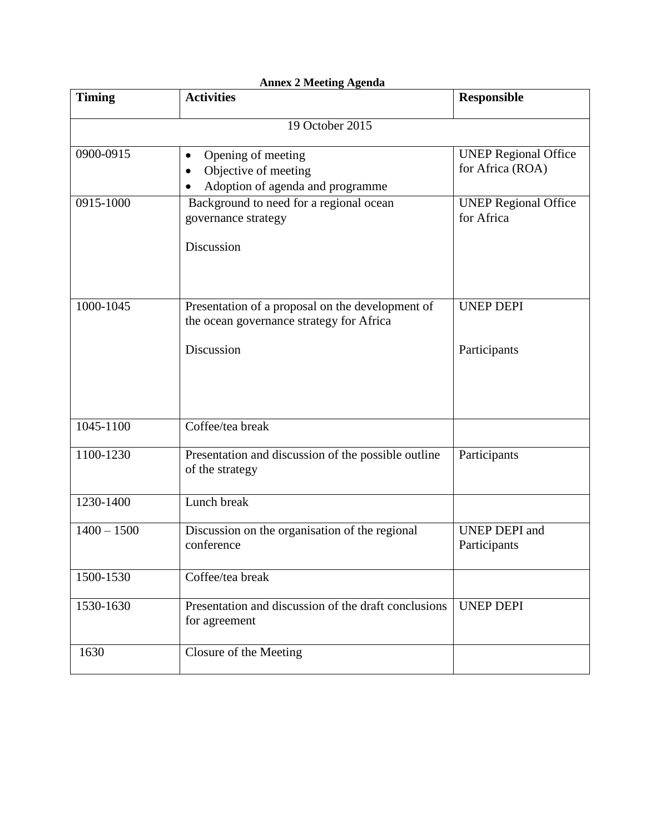| <b>Annex 2 Meeting Agenda</b> |                                                                                                            |                                                 |  |  |  |
|-------------------------------|------------------------------------------------------------------------------------------------------------|-------------------------------------------------|--|--|--|
| <b>Timing</b>                 | <b>Activities</b>                                                                                          | <b>Responsible</b>                              |  |  |  |
|                               | 19 October 2015                                                                                            |                                                 |  |  |  |
| 0900-0915                     | Opening of meeting<br>$\bullet$<br>Objective of meeting<br>Adoption of agenda and programme                | <b>UNEP Regional Office</b><br>for Africa (ROA) |  |  |  |
| 0915-1000                     | Background to need for a regional ocean<br>governance strategy<br>Discussion                               | <b>UNEP Regional Office</b><br>for Africa       |  |  |  |
| 1000-1045                     | Presentation of a proposal on the development of<br>the ocean governance strategy for Africa<br>Discussion | <b>UNEP DEPI</b><br>Participants                |  |  |  |
|                               |                                                                                                            |                                                 |  |  |  |
| 1045-1100                     | Coffee/tea break                                                                                           |                                                 |  |  |  |
| 1100-1230                     | Presentation and discussion of the possible outline<br>of the strategy                                     | Participants                                    |  |  |  |
| 1230-1400                     | Lunch break                                                                                                |                                                 |  |  |  |
| $1400 - 1500$                 | Discussion on the organisation of the regional<br>conference                                               | <b>UNEP DEPI</b> and<br>Participants            |  |  |  |
| 1500-1530                     | Coffee/tea break                                                                                           |                                                 |  |  |  |
| 1530-1630                     | Presentation and discussion of the draft conclusions<br>for agreement                                      | <b>UNEP DEPI</b>                                |  |  |  |
| 1630                          | Closure of the Meeting                                                                                     |                                                 |  |  |  |